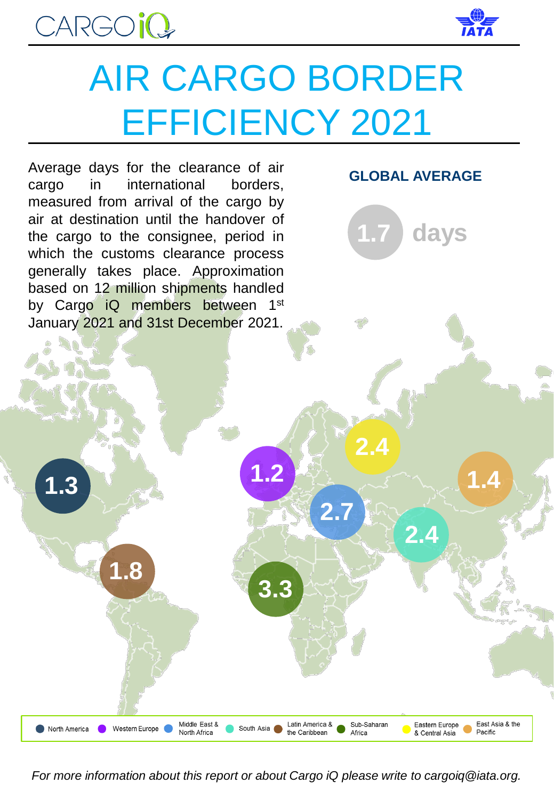



## AIR CARGO BORDER EFFICIENCY 2021



*For more information about this report or about Cargo iQ please write to cargoiq@iata.org.*